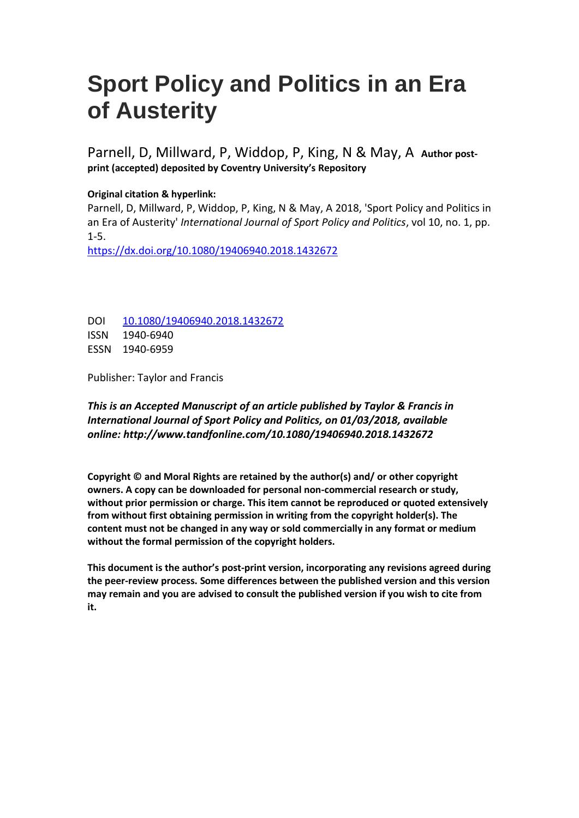# **Sport Policy and Politics in an Era of Austerity**

Parnell, D, Millward, P, Widdop, P, King, N & May, A **Author postprint (accepted) deposited by Coventry University's Repository**

# **Original citation & hyperlink:**

Parnell, D, Millward, P, Widdop, P, King, N & May, A 2018, 'Sport Policy and Politics in an Era of Austerity' *International Journal of Sport Policy and Politics*, vol 10, no. 1, pp. 1-5.

<https://dx.doi.org/10.1080/19406940.2018.1432672>

DOI [10.1080/19406940.2018.1432672](http://dx.doi.org/10.1080/19406940.2018.1432672) ISSN 1940-6940 ESSN 1940-6959

Publisher: Taylor and Francis

# *This is an Accepted Manuscript of an article published by Taylor & Francis in International Journal of Sport Policy and Politics, on 01/03/2018, available online: http://www.tandfonline.com/10.1080/19406940.2018.1432672*

**Copyright © and Moral Rights are retained by the author(s) and/ or other copyright owners. A copy can be downloaded for personal non-commercial research or study, without prior permission or charge. This item cannot be reproduced or quoted extensively from without first obtaining permission in writing from the copyright holder(s). The content must not be changed in any way or sold commercially in any format or medium without the formal permission of the copyright holders.** 

**This document is the author's post-print version, incorporating any revisions agreed during the peer-review process. Some differences between the published version and this version may remain and you are advised to consult the published version if you wish to cite from it.**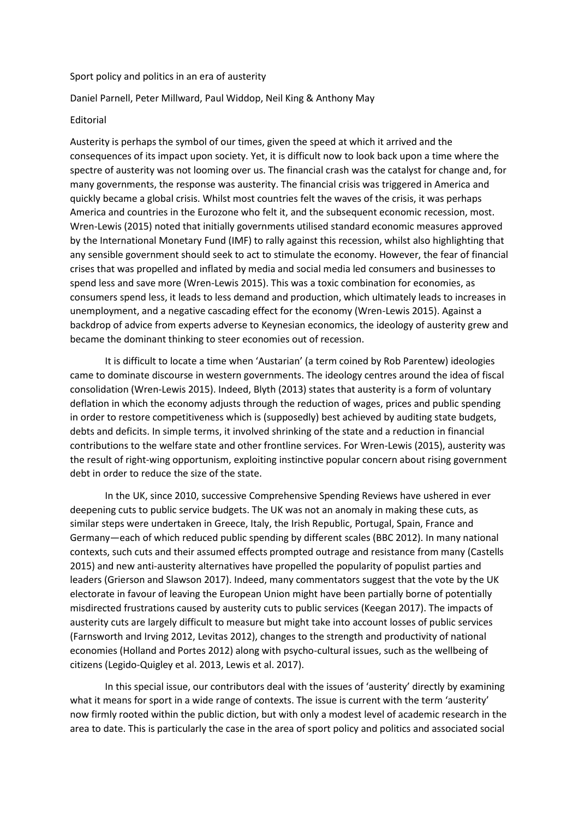#### Sport policy and politics in an era of austerity

#### Daniel Parnell, Peter Millward, Paul Widdop, Neil King & Anthony May

#### Editorial

Austerity is perhaps the symbol of our times, given the speed at which it arrived and the consequences of its impact upon society. Yet, it is difficult now to look back upon a time where the spectre of austerity was not looming over us. The financial crash was the catalyst for change and, for many governments, the response was austerity. The financial crisis was triggered in America and quickly became a global crisis. Whilst most countries felt the waves of the crisis, it was perhaps America and countries in the Eurozone who felt it, and the subsequent economic recession, most. Wren-Lewis (2015) noted that initially governments utilised standard economic measures approved by the International Monetary Fund (IMF) to rally against this recession, whilst also highlighting that any sensible government should seek to act to stimulate the economy. However, the fear of financial crises that was propelled and inflated by media and social media led consumers and businesses to spend less and save more (Wren-Lewis 2015). This was a toxic combination for economies, as consumers spend less, it leads to less demand and production, which ultimately leads to increases in unemployment, and a negative cascading effect for the economy (Wren-Lewis 2015). Against a backdrop of advice from experts adverse to Keynesian economics, the ideology of austerity grew and became the dominant thinking to steer economies out of recession.

It is difficult to locate a time when 'Austarian' (a term coined by Rob Parentew) ideologies came to dominate discourse in western governments. The ideology centres around the idea of fiscal consolidation (Wren-Lewis 2015). Indeed, Blyth (2013) states that austerity is a form of voluntary deflation in which the economy adjusts through the reduction of wages, prices and public spending in order to restore competitiveness which is (supposedly) best achieved by auditing state budgets, debts and deficits. In simple terms, it involved shrinking of the state and a reduction in financial contributions to the welfare state and other frontline services. For Wren-Lewis (2015), austerity was the result of right-wing opportunism, exploiting instinctive popular concern about rising government debt in order to reduce the size of the state.

In the UK, since 2010, successive Comprehensive Spending Reviews have ushered in ever deepening cuts to public service budgets. The UK was not an anomaly in making these cuts, as similar steps were undertaken in Greece, Italy, the Irish Republic, Portugal, Spain, France and Germany—each of which reduced public spending by different scales (BBC 2012). In many national contexts, such cuts and their assumed effects prompted outrage and resistance from many (Castells 2015) and new anti-austerity alternatives have propelled the popularity of populist parties and leaders (Grierson and Slawson 2017). Indeed, many commentators suggest that the vote by the UK electorate in favour of leaving the European Union might have been partially borne of potentially misdirected frustrations caused by austerity cuts to public services (Keegan 2017). The impacts of austerity cuts are largely difficult to measure but might take into account losses of public services (Farnsworth and Irving 2012, Levitas 2012), changes to the strength and productivity of national economies (Holland and Portes 2012) along with psycho-cultural issues, such as the wellbeing of citizens (Legido-Quigley et al. 2013, Lewis et al. 2017).

In this special issue, our contributors deal with the issues of 'austerity' directly by examining what it means for sport in a wide range of contexts. The issue is current with the term 'austerity' now firmly rooted within the public diction, but with only a modest level of academic research in the area to date. This is particularly the case in the area of sport policy and politics and associated social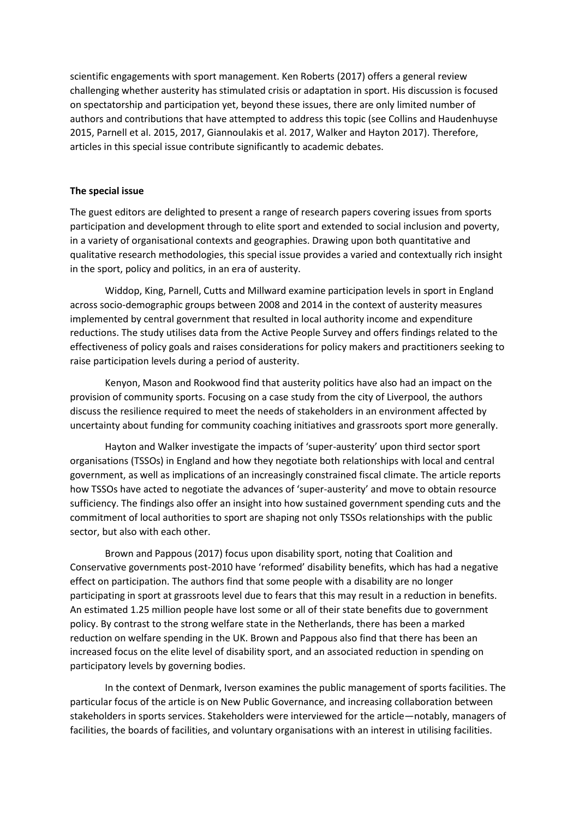scientific engagements with sport management. Ken Roberts (2017) offers a general review challenging whether austerity has stimulated crisis or adaptation in sport. His discussion is focused on spectatorship and participation yet, beyond these issues, there are only limited number of authors and contributions that have attempted to address this topic (see Collins and Haudenhuyse 2015, Parnell et al. 2015, 2017, Giannoulakis et al. 2017, Walker and Hayton 2017). Therefore, articles in this special issue contribute significantly to academic debates.

## **The special issue**

The guest editors are delighted to present a range of research papers covering issues from sports participation and development through to elite sport and extended to social inclusion and poverty, in a variety of organisational contexts and geographies. Drawing upon both quantitative and qualitative research methodologies, this special issue provides a varied and contextually rich insight in the sport, policy and politics, in an era of austerity.

Widdop, King, Parnell, Cutts and Millward examine participation levels in sport in England across socio-demographic groups between 2008 and 2014 in the context of austerity measures implemented by central government that resulted in local authority income and expenditure reductions. The study utilises data from the Active People Survey and offers findings related to the effectiveness of policy goals and raises considerations for policy makers and practitioners seeking to raise participation levels during a period of austerity.

Kenyon, Mason and Rookwood find that austerity politics have also had an impact on the provision of community sports. Focusing on a case study from the city of Liverpool, the authors discuss the resilience required to meet the needs of stakeholders in an environment affected by uncertainty about funding for community coaching initiatives and grassroots sport more generally.

Hayton and Walker investigate the impacts of 'super-austerity' upon third sector sport organisations (TSSOs) in England and how they negotiate both relationships with local and central government, as well as implications of an increasingly constrained fiscal climate. The article reports how TSSOs have acted to negotiate the advances of 'super-austerity' and move to obtain resource sufficiency. The findings also offer an insight into how sustained government spending cuts and the commitment of local authorities to sport are shaping not only TSSOs relationships with the public sector, but also with each other.

Brown and Pappous (2017) focus upon disability sport, noting that Coalition and Conservative governments post-2010 have 'reformed' disability benefits, which has had a negative effect on participation. The authors find that some people with a disability are no longer participating in sport at grassroots level due to fears that this may result in a reduction in benefits. An estimated 1.25 million people have lost some or all of their state benefits due to government policy. By contrast to the strong welfare state in the Netherlands, there has been a marked reduction on welfare spending in the UK. Brown and Pappous also find that there has been an increased focus on the elite level of disability sport, and an associated reduction in spending on participatory levels by governing bodies.

In the context of Denmark, Iverson examines the public management of sports facilities. The particular focus of the article is on New Public Governance, and increasing collaboration between stakeholders in sports services. Stakeholders were interviewed for the article—notably, managers of facilities, the boards of facilities, and voluntary organisations with an interest in utilising facilities.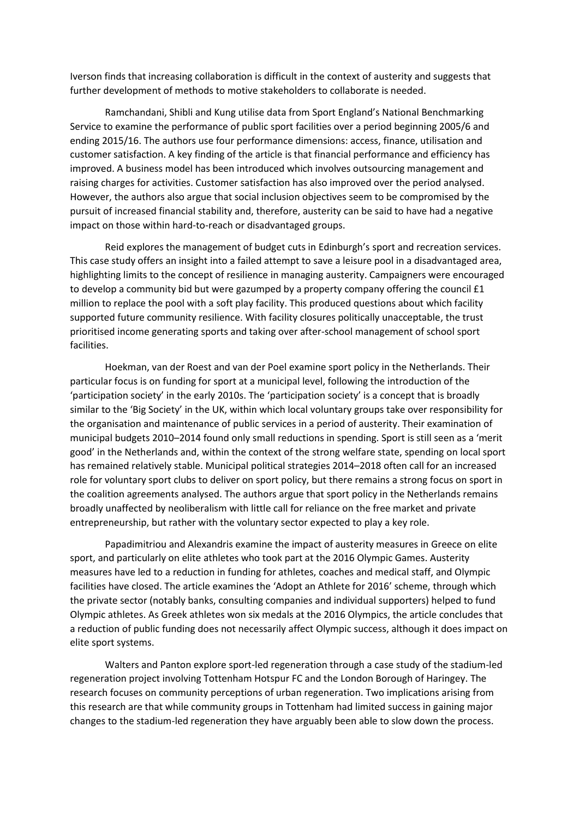Iverson finds that increasing collaboration is difficult in the context of austerity and suggests that further development of methods to motive stakeholders to collaborate is needed.

Ramchandani, Shibli and Kung utilise data from Sport England's National Benchmarking Service to examine the performance of public sport facilities over a period beginning 2005/6 and ending 2015/16. The authors use four performance dimensions: access, finance, utilisation and customer satisfaction. A key finding of the article is that financial performance and efficiency has improved. A business model has been introduced which involves outsourcing management and raising charges for activities. Customer satisfaction has also improved over the period analysed. However, the authors also argue that social inclusion objectives seem to be compromised by the pursuit of increased financial stability and, therefore, austerity can be said to have had a negative impact on those within hard-to-reach or disadvantaged groups.

Reid explores the management of budget cuts in Edinburgh's sport and recreation services. This case study offers an insight into a failed attempt to save a leisure pool in a disadvantaged area, highlighting limits to the concept of resilience in managing austerity. Campaigners were encouraged to develop a community bid but were gazumped by a property company offering the council £1 million to replace the pool with a soft play facility. This produced questions about which facility supported future community resilience. With facility closures politically unacceptable, the trust prioritised income generating sports and taking over after-school management of school sport facilities.

Hoekman, van der Roest and van der Poel examine sport policy in the Netherlands. Their particular focus is on funding for sport at a municipal level, following the introduction of the 'participation society' in the early 2010s. The 'participation society' is a concept that is broadly similar to the 'Big Society' in the UK, within which local voluntary groups take over responsibility for the organisation and maintenance of public services in a period of austerity. Their examination of municipal budgets 2010–2014 found only small reductions in spending. Sport is still seen as a 'merit good' in the Netherlands and, within the context of the strong welfare state, spending on local sport has remained relatively stable. Municipal political strategies 2014–2018 often call for an increased role for voluntary sport clubs to deliver on sport policy, but there remains a strong focus on sport in the coalition agreements analysed. The authors argue that sport policy in the Netherlands remains broadly unaffected by neoliberalism with little call for reliance on the free market and private entrepreneurship, but rather with the voluntary sector expected to play a key role.

Papadimitriou and Alexandris examine the impact of austerity measures in Greece on elite sport, and particularly on elite athletes who took part at the 2016 Olympic Games. Austerity measures have led to a reduction in funding for athletes, coaches and medical staff, and Olympic facilities have closed. The article examines the 'Adopt an Athlete for 2016' scheme, through which the private sector (notably banks, consulting companies and individual supporters) helped to fund Olympic athletes. As Greek athletes won six medals at the 2016 Olympics, the article concludes that a reduction of public funding does not necessarily affect Olympic success, although it does impact on elite sport systems.

Walters and Panton explore sport-led regeneration through a case study of the stadium-led regeneration project involving Tottenham Hotspur FC and the London Borough of Haringey. The research focuses on community perceptions of urban regeneration. Two implications arising from this research are that while community groups in Tottenham had limited success in gaining major changes to the stadium-led regeneration they have arguably been able to slow down the process.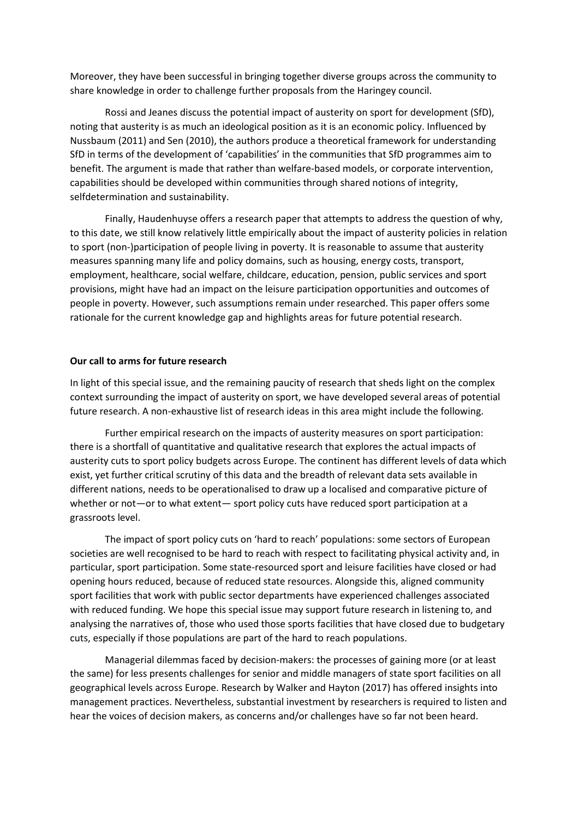Moreover, they have been successful in bringing together diverse groups across the community to share knowledge in order to challenge further proposals from the Haringey council.

Rossi and Jeanes discuss the potential impact of austerity on sport for development (SfD), noting that austerity is as much an ideological position as it is an economic policy. Influenced by Nussbaum (2011) and Sen (2010), the authors produce a theoretical framework for understanding SfD in terms of the development of 'capabilities' in the communities that SfD programmes aim to benefit. The argument is made that rather than welfare-based models, or corporate intervention, capabilities should be developed within communities through shared notions of integrity, selfdetermination and sustainability.

Finally, Haudenhuyse offers a research paper that attempts to address the question of why, to this date, we still know relatively little empirically about the impact of austerity policies in relation to sport (non-)participation of people living in poverty. It is reasonable to assume that austerity measures spanning many life and policy domains, such as housing, energy costs, transport, employment, healthcare, social welfare, childcare, education, pension, public services and sport provisions, might have had an impact on the leisure participation opportunities and outcomes of people in poverty. However, such assumptions remain under researched. This paper offers some rationale for the current knowledge gap and highlights areas for future potential research.

### **Our call to arms for future research**

In light of this special issue, and the remaining paucity of research that sheds light on the complex context surrounding the impact of austerity on sport, we have developed several areas of potential future research. A non-exhaustive list of research ideas in this area might include the following.

Further empirical research on the impacts of austerity measures on sport participation: there is a shortfall of quantitative and qualitative research that explores the actual impacts of austerity cuts to sport policy budgets across Europe. The continent has different levels of data which exist, yet further critical scrutiny of this data and the breadth of relevant data sets available in different nations, needs to be operationalised to draw up a localised and comparative picture of whether or not—or to what extent— sport policy cuts have reduced sport participation at a grassroots level.

The impact of sport policy cuts on 'hard to reach' populations: some sectors of European societies are well recognised to be hard to reach with respect to facilitating physical activity and, in particular, sport participation. Some state-resourced sport and leisure facilities have closed or had opening hours reduced, because of reduced state resources. Alongside this, aligned community sport facilities that work with public sector departments have experienced challenges associated with reduced funding. We hope this special issue may support future research in listening to, and analysing the narratives of, those who used those sports facilities that have closed due to budgetary cuts, especially if those populations are part of the hard to reach populations.

Managerial dilemmas faced by decision-makers: the processes of gaining more (or at least the same) for less presents challenges for senior and middle managers of state sport facilities on all geographical levels across Europe. Research by Walker and Hayton (2017) has offered insights into management practices. Nevertheless, substantial investment by researchers is required to listen and hear the voices of decision makers, as concerns and/or challenges have so far not been heard.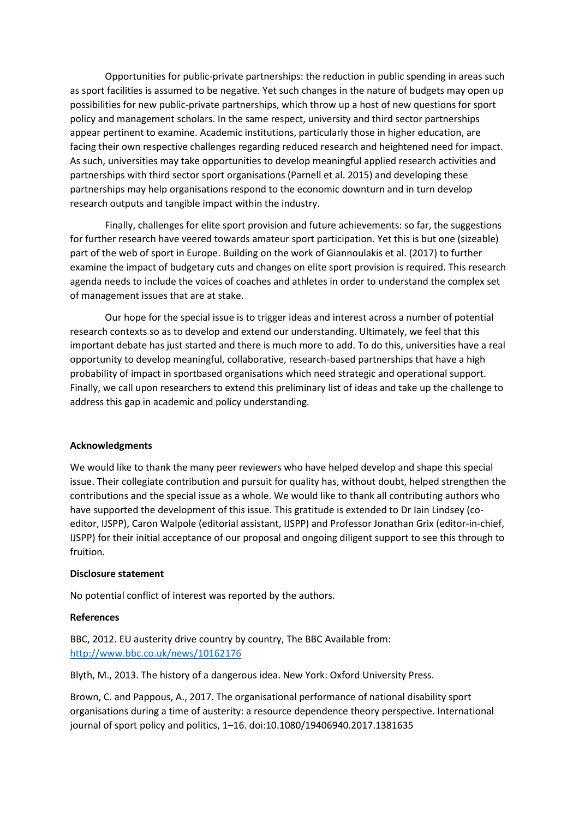Opportunities for public-private partnerships: the reduction in public spending in areas such as sport facilities is assumed to be negative. Yet such changes in the nature of budgets may open up possibilities for new public-private partnerships, which throw up a host of new questions for sport policy and management scholars. In the same respect, university and third sector partnerships appear pertinent to examine. Academic institutions, particularly those in higher education, are facing their own respective challenges regarding reduced research and heightened need for impact. As such, universities may take opportunities to develop meaningful applied research activities and partnerships with third sector sport organisations (Parnell et al. 2015) and developing these partnerships may help organisations respond to the economic downturn and in turn develop research outputs and tangible impact within the industry.

Finally, challenges for elite sport provision and future achievements: so far, the suggestions for further research have veered towards amateur sport participation. Yet this is but one (sizeable) part of the web of sport in Europe. Building on the work of Giannoulakis et al. (2017) to further examine the impact of budgetary cuts and changes on elite sport provision is required. This research agenda needs to include the voices of coaches and athletes in order to understand the complex set of management issues that are at stake.

Our hope for the special issue is to trigger ideas and interest across a number of potential research contexts so as to develop and extend our understanding. Ultimately, we feel that this important debate has just started and there is much more to add. To do this, universities have a real opportunity to develop meaningful, collaborative, research-based partnerships that have a high probability of impact in sportbased organisations which need strategic and operational support. Finally, we call upon researchers to extend this preliminary list of ideas and take up the challenge to address this gap in academic and policy understanding.

# **Acknowledgments**

We would like to thank the many peer reviewers who have helped develop and shape this special issue. Their collegiate contribution and pursuit for quality has, without doubt, helped strengthen the contributions and the special issue as a whole. We would like to thank all contributing authors who have supported the development of this issue. This gratitude is extended to Dr Iain Lindsey (coeditor, IJSPP), Caron Walpole (editorial assistant, IJSPP) and Professor Jonathan Grix (editor-in-chief, IJSPP) for their initial acceptance of our proposal and ongoing diligent support to see this through to fruition.

## **Disclosure statement**

No potential conflict of interest was reported by the authors.

#### **References**

BBC, 2012. EU austerity drive country by country, The BBC Available from: <http://www.bbc.co.uk/news/10162176>

Blyth, M., 2013. The history of a dangerous idea. New York: Oxford University Press.

Brown, C. and Pappous, A., 2017. The organisational performance of national disability sport organisations during a time of austerity: a resource dependence theory perspective. International journal of sport policy and politics, 1–16. doi:10.1080/19406940.2017.1381635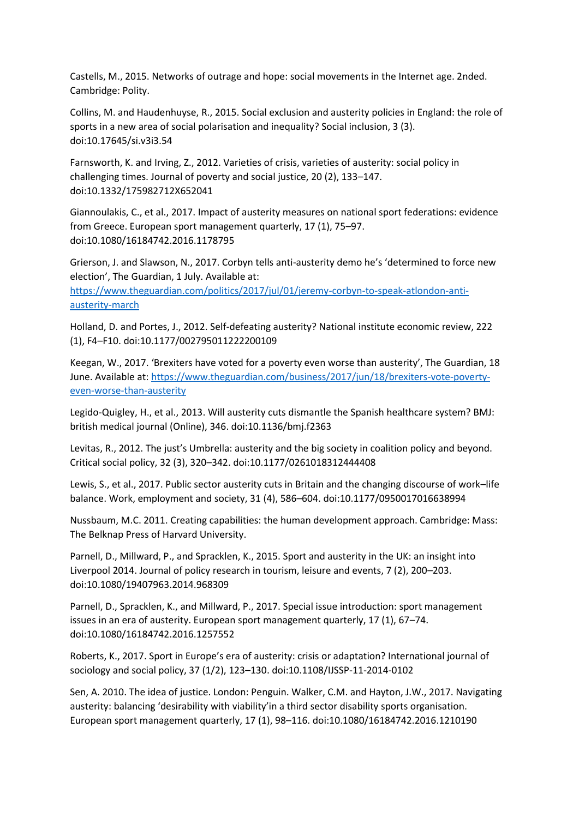Castells, M., 2015. Networks of outrage and hope: social movements in the Internet age. 2nded. Cambridge: Polity.

Collins, M. and Haudenhuyse, R., 2015. Social exclusion and austerity policies in England: the role of sports in a new area of social polarisation and inequality? Social inclusion, 3 (3). doi:10.17645/si.v3i3.54

Farnsworth, K. and Irving, Z., 2012. Varieties of crisis, varieties of austerity: social policy in challenging times. Journal of poverty and social justice, 20 (2), 133–147. doi:10.1332/175982712X652041

Giannoulakis, C., et al., 2017. Impact of austerity measures on national sport federations: evidence from Greece. European sport management quarterly, 17 (1), 75–97. doi:10.1080/16184742.2016.1178795

Grierson, J. and Slawson, N., 2017. Corbyn tells anti-austerity demo he's 'determined to force new election', The Guardian, 1 July. Available at: [https://www.theguardian.com/politics/2017/jul/01/jeremy-corbyn-to-speak-atlondon-anti-](https://www.theguardian.com/politics/2017/jul/01/jeremy-corbyn-to-speak-atlondon-anti-austerity-march)

[austerity-march](https://www.theguardian.com/politics/2017/jul/01/jeremy-corbyn-to-speak-atlondon-anti-austerity-march)

Holland, D. and Portes, J., 2012. Self-defeating austerity? National institute economic review, 222 (1), F4–F10. doi:10.1177/002795011222200109

Keegan, W., 2017. 'Brexiters have voted for a poverty even worse than austerity', The Guardian, 18 June. Available at: [https://www.theguardian.com/business/2017/jun/18/brexiters-vote-poverty](https://www.theguardian.com/business/2017/jun/18/brexiters-vote-poverty-even-worse-than-austerity)[even-worse-than-austerity](https://www.theguardian.com/business/2017/jun/18/brexiters-vote-poverty-even-worse-than-austerity)

Legido-Quigley, H., et al., 2013. Will austerity cuts dismantle the Spanish healthcare system? BMJ: british medical journal (Online), 346. doi:10.1136/bmj.f2363

Levitas, R., 2012. The just's Umbrella: austerity and the big society in coalition policy and beyond. Critical social policy, 32 (3), 320–342. doi:10.1177/0261018312444408

Lewis, S., et al., 2017. Public sector austerity cuts in Britain and the changing discourse of work–life balance. Work, employment and society, 31 (4), 586–604. doi:10.1177/0950017016638994

Nussbaum, M.C. 2011. Creating capabilities: the human development approach. Cambridge: Mass: The Belknap Press of Harvard University.

Parnell, D., Millward, P., and Spracklen, K., 2015. Sport and austerity in the UK: an insight into Liverpool 2014. Journal of policy research in tourism, leisure and events, 7 (2), 200–203. doi:10.1080/19407963.2014.968309

Parnell, D., Spracklen, K., and Millward, P., 2017. Special issue introduction: sport management issues in an era of austerity. European sport management quarterly, 17 (1), 67–74. doi:10.1080/16184742.2016.1257552

Roberts, K., 2017. Sport in Europe's era of austerity: crisis or adaptation? International journal of sociology and social policy, 37 (1/2), 123–130. doi:10.1108/IJSSP-11-2014-0102

Sen, A. 2010. The idea of justice. London: Penguin. Walker, C.M. and Hayton, J.W., 2017. Navigating austerity: balancing 'desirability with viability'in a third sector disability sports organisation. European sport management quarterly, 17 (1), 98–116. doi:10.1080/16184742.2016.1210190